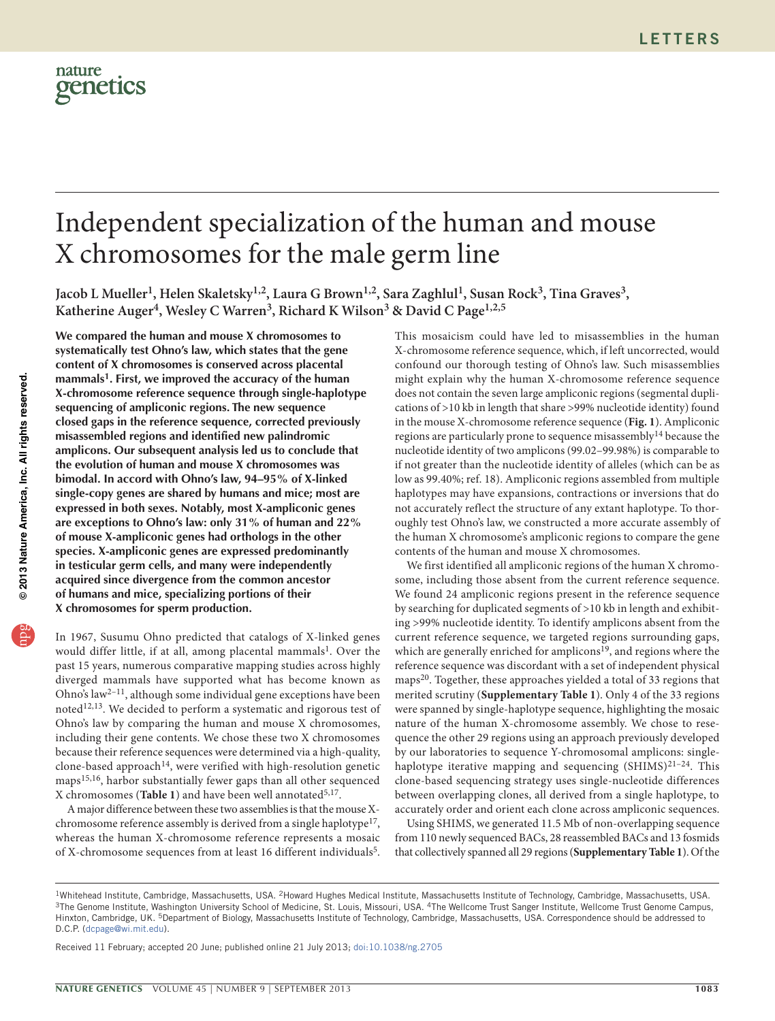

# Independent specialization of the human and mouse X chromosomes for the male germ line

Jacob L Mueller<sup>1</sup>, Helen Skaletsky<sup>1,2</sup>, Laura G Brown<sup>1,2</sup>, Sara Zaghlul<sup>1</sup>, Susan Rock<sup>3</sup>, Tina Graves<sup>3</sup>, Katherine Auger<sup>4</sup>, Wesley C Warren<sup>3</sup>, Richard K Wilson<sup>3</sup> & David C Page<sup>1,2,5</sup>

**We compared the human and mouse X chromosomes to systematically test Ohno's law, which states that the gene content of X chromosomes is conserved across placental mammals[1.](#page-3-0) First, we improved the accuracy of the human X-chromosome reference sequence through single-haplotype sequencing of ampliconic regions. The new sequence closed gaps in the reference sequence, corrected previously misassembled regions and identified new palindromic amplicons. Our subsequent analysis led us to conclude that the evolution of human and mouse X chromosomes was bimodal. In accord with Ohno's law, 94–95% of X-linked single-copy genes are shared by humans and mice; most are expressed in both sexes. Notably, most X-ampliconic genes are exceptions to Ohno's law: only 31% of human and 22% of mouse X-ampliconic genes had orthologs in the other species. X-ampliconic genes are expressed predominantly in testicular germ cells, and many were independently acquired since divergence from the common ancestor of humans and mice, specializing portions of their X chromosomes for sperm production.**

In 1967, Susumu Ohno predicted that catalogs of X-linked genes would differ little, if at all, among placental mammals<sup>1</sup>. Over the past 15 years, numerous comparative mapping studies across highly diverged mammals have supported what has become known as Ohno's law[2–](#page-3-1)[11,](#page-4-0) although some individual gene exceptions have been noted[12,](#page-4-1)[13.](#page-4-2) We decided to perform a systematic and rigorous test of Ohno's law by comparing the human and mouse X chromosomes, including their gene contents. We chose these two X chromosomes because their reference sequences were determined via a high-quality, clone-based approach<sup>[14](#page-4-3)</sup>, were verified with high-resolution genetic maps[15,](#page-4-4)[16](#page-4-5), harbor substantially fewer gaps than all other sequenced X chromosomes ([Table 1](#page-1-0)) and have been well annotated<sup>[5,](#page-4-6)17</sup>.

A major difference between these two assemblies is that the mouse X-chromosome reference assembly is derived from a single haplotype<sup>[17](#page-4-7)</sup>, whereas the human X-chromosome reference represents a mosaic of X-chromosome sequences from at least 16 different individuals<sup>5</sup>.

This mosaicism could have led to misassemblies in the human X-chromosome reference sequence, which, if left uncorrected, would confound our thorough testing of Ohno's law. Such misassemblies might explain why the human X-chromosome reference sequence does not contain the seven large ampliconic regions (segmental duplications of >10 kb in length that share >99% nucleotide identity) found in the mouse X-chromosome reference sequence (**[Fig. 1](#page-1-1)**). Ampliconic regions are particularly prone to sequence misassembly<sup>[14](#page-4-3)</sup> because the nucleotide identity of two amplicons (99.02–99.98%) is comparable to if not greater than the nucleotide identity of alleles (which can be as low as 99.40%; ref. [18](#page-4-8)). Ampliconic regions assembled from multiple haplotypes may have expansions, contractions or inversions that do not accurately reflect the structure of any extant haplotype. To thoroughly test Ohno's law, we constructed a more accurate assembly of the human X chromosome's ampliconic regions to compare the gene contents of the human and mouse X chromosomes.

We first identified all ampliconic regions of the human X chromosome, including those absent from the current reference sequence. We found 24 ampliconic regions present in the reference sequence by searching for duplicated segments of >10 kb in length and exhibiting >99% nucleotide identity. To identify amplicons absent from the current reference sequence, we targeted regions surrounding gaps, which are generally enriched for amplicons<sup>[19](#page-4-9)</sup>, and regions where the reference sequence was discordant with a set of independent physical maps[20.](#page-4-10) Together, these approaches yielded a total of 33 regions that merited scrutiny (**Supplementary Table 1**). Only 4 of the 33 regions were spanned by single-haplotype sequence, highlighting the mosaic nature of the human X-chromosome assembly. We chose to resequence the other 29 regions using an approach previously developed by our laboratories to sequence Y-chromosomal amplicons: singlehaplotype iterative mapping and sequencing  $(SHIMS)^{21-24}$ . This clone-based sequencing strategy uses single-nucleotide differences between overlapping clones, all derived from a single haplotype, to accurately order and orient each clone across ampliconic sequences.

Using SHIMS, we generated 11.5 Mb of non-overlapping sequence from 110 newly sequenced BACs, 28 reassembled BACs and 13 fosmids that collectively spanned all 29 regions (**Supplementary Table 1**). Of the

Received 11 February; accepted 20 June; published online 21 July 2013; [doi:10.1038/ng.2705](http://www.nature.com/doifinder/10.1038/ng.2705)

<sup>&</sup>lt;sup>1</sup>Whitehead Institute, Cambridge, Massachusetts, USA. <sup>2</sup>Howard Hughes Medical Institute, Massachusetts Institute of Technology, Cambridge, Massachusetts, USA.<br><sup>3</sup>The Genome Institute, Washington University School of Medi Hinxton, Cambridge, UK. <sup>5</sup>Department of Biology, Massachusetts Institute of Technology, Cambridge, Massachusetts, USA. Correspondence should be addressed to D.C.P. (dcpage@wi.mit.edu).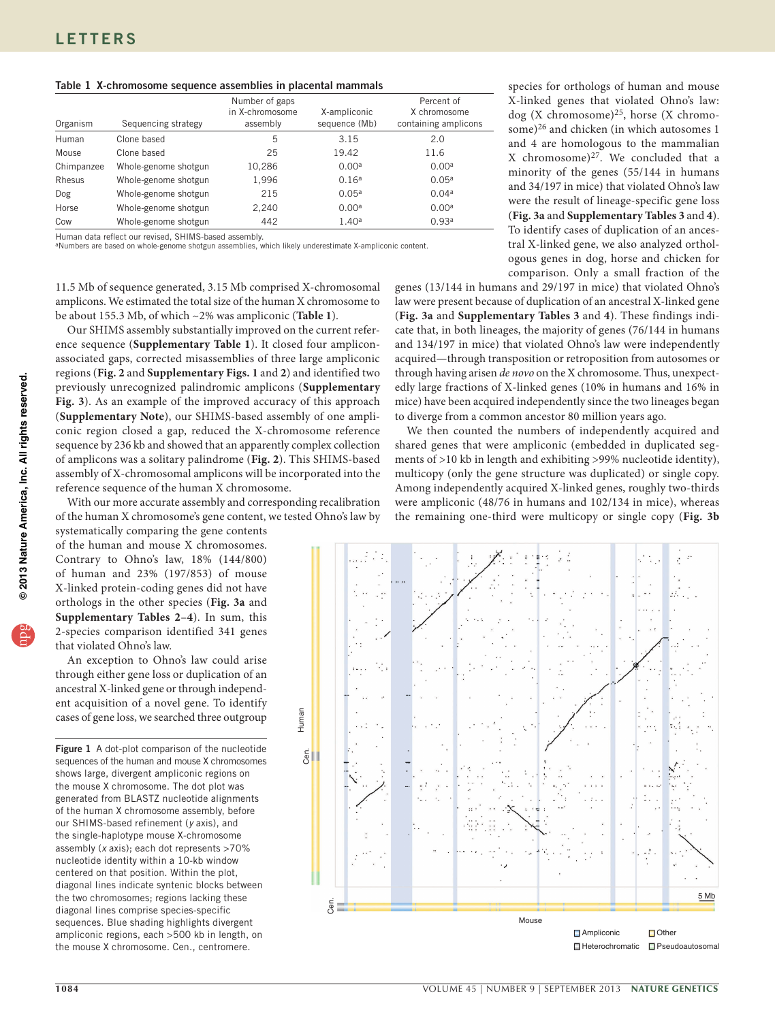## <span id="page-1-0"></span>Table 1 X-chromosome sequence assemblies in placental mammals

| Organism   | Sequencing strategy  | Number of gaps<br>in X-chromosome<br>assembly | X-ampliconic<br>sequence (Mb) | Percent of<br>X chromosome<br>containing amplicons |
|------------|----------------------|-----------------------------------------------|-------------------------------|----------------------------------------------------|
| Human      | Clone based          | 5                                             | 3.15                          | 2.0                                                |
| Mouse      | Clone based          | 25                                            | 19.42                         | 11.6                                               |
| Chimpanzee | Whole-genome shotgun | 10,286                                        | 0.00 <sup>a</sup>             | 0.00 <sup>a</sup>                                  |
| Rhesus     | Whole-genome shotgun | 1,996                                         | 0.16 <sup>a</sup>             | 0.05 <sup>a</sup>                                  |
| Dog        | Whole-genome shotgun | 215                                           | 0.05 <sup>a</sup>             | 0.04 <sup>a</sup>                                  |
| Horse      | Whole-genome shotgun | 2,240                                         | 0.00 <sup>a</sup>             | 0.00 <sup>a</sup>                                  |
| Cow        | Whole-genome shotgun | 442                                           | 1.40 <sup>a</sup>             | 0.93 <sup>a</sup>                                  |

Human data reflect our revised, SHIMS-based assembly.

aNumbers are based on whole-genome shotgun assemblies, which likely underestimate X-ampliconic content.

11.5 Mb of sequence generated, 3.15 Mb comprised X-chromosomal amplicons. We estimated the total size of the human X chromosome to be about 155.3 Mb, of which ~2% was ampliconic (**[Table 1](#page-1-0)**).

Our SHIMS assembly substantially improved on the current reference sequence (**Supplementary Table 1**). It closed four ampliconassociated gaps, corrected misassemblies of three large ampliconic regions (**[Fig. 2](#page-2-0)** and **Supplementary Figs. 1** and **2**) and identified two previously unrecognized palindromic amplicons (**Supplementary Fig. 3**). As an example of the improved accuracy of this approach (**Supplementary Note**), our SHIMS-based assembly of one ampliconic region closed a gap, reduced the X-chromosome reference sequence by 236 kb and showed that an apparently complex collection of amplicons was a solitary palindrome (**[Fig. 2](#page-2-0)**). This SHIMS-based assembly of X-chromosomal amplicons will be incorporated into the reference sequence of the human X chromosome.

With our more accurate assembly and corresponding recalibration of the human X chromosome's gene content, we tested Ohno's law by

systematically comparing the gene contents of the human and mouse X chromosomes. Contrary to Ohno's law, 18% (144/800) of human and 23% (197/853) of mouse X-linked protein-coding genes did not have orthologs in the other species (**[Fig. 3a](#page-2-1)** and **Supplementary Tables 2**–**4**). In sum, this 2-species comparison identified 341 genes that violated Ohno's law.

An exception to Ohno's law could arise through either gene loss or duplication of an ancestral X-linked gene or through independent acquisition of a novel gene. To identify cases of gene loss, we searched three outgroup

<span id="page-1-1"></span>Figure 1 A dot-plot comparison of the nucleotide sequences of the human and mouse X chromosomes shows large, divergent ampliconic regions on the mouse X chromosome. The dot plot was generated from BLASTZ nucleotide alignments of the human X chromosome assembly, before our SHIMS-based refinement (*y* axis), and the single-haplotype mouse X-chromosome assembly (*x* axis); each dot represents >70% nucleotide identity within a 10-kb window centered on that position. Within the plot, diagonal lines indicate syntenic blocks between the two chromosomes; regions lacking these diagonal lines comprise species-specific sequences. Blue shading highlights divergent ampliconic regions, each >500 kb in length, on the mouse X chromosome. Cen., centromere.

species for orthologs of human and mouse X-linked genes that violated Ohno's law: dog (X chromosome)[25,](#page-4-13) horse (X chromosome)[26](#page-4-14) and chicken (in which autosomes 1 and 4 are homologous to the mammalian X chromosome) $27$ . We concluded that a minority of the genes (55/144 in humans and 34/197 in mice) that violated Ohno's law were the result of lineage-specific gene loss (**[Fig. 3a](#page-2-1)** and **Supplementary Tables 3** and **4**). To identify cases of duplication of an ancestral X-linked gene, we also analyzed orthologous genes in dog, horse and chicken for comparison. Only a small fraction of the

genes (13/144 in humans and 29/197 in mice) that violated Ohno's law were present because of duplication of an ancestral X-linked gene (**[Fig. 3a](#page-2-1)** and **Supplementary Tables 3** and **4**). These findings indicate that, in both lineages, the majority of genes (76/144 in humans and 134/197 in mice) that violated Ohno's law were independently acquired—through transposition or retroposition from autosomes or through having arisen *de novo* on the X chromosome. Thus, unexpectedly large fractions of X-linked genes (10% in humans and 16% in mice) have been acquired independently since the two lineages began to diverge from a common ancestor 80 million years ago.

We then counted the numbers of independently acquired and shared genes that were ampliconic (embedded in duplicated segments of >10 kb in length and exhibiting >99% nucleotide identity), multicopy (only the gene structure was duplicated) or single copy. Among independently acquired X-linked genes, roughly two-thirds were ampliconic (48/76 in humans and 102/134 in mice), whereas the remaining one-third were multicopy or single copy (**[Fig. 3b](#page-2-1)**

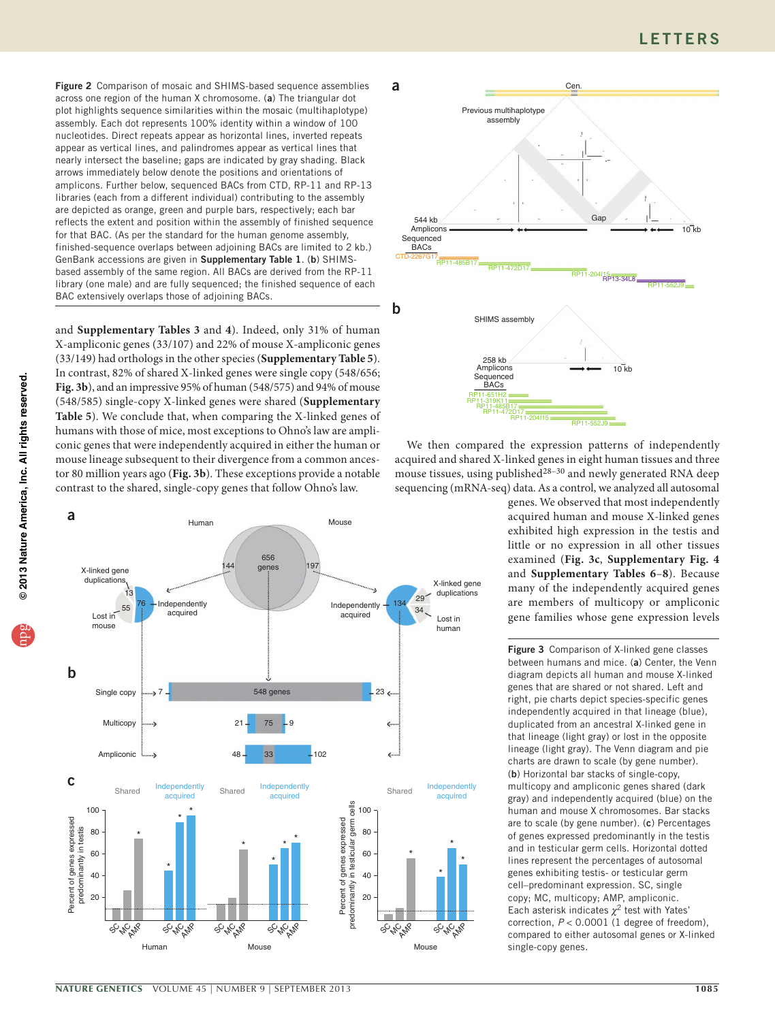<span id="page-2-0"></span>Figure 2 Comparison of mosaic and SHIMS-based sequence assemblies across one region of the human X chromosome. (a) The triangular dot plot highlights sequence similarities within the mosaic (multihaplotype) assembly. Each dot represents 100% identity within a window of 100 nucleotides. Direct repeats appear as horizontal lines, inverted repeats appear as vertical lines, and palindromes appear as vertical lines that nearly intersect the baseline; gaps are indicated by gray shading. Black arrows immediately below denote the positions and orientations of amplicons. Further below, sequenced BACs from CTD, RP-11 and RP-13 libraries (each from a different individual) contributing to the assembly are depicted as orange, green and purple bars, respectively; each bar reflects the extent and position within the assembly of finished sequence for that BAC. (As per the standard for the human genome assembly, finished-sequence overlaps between adjoining BACs are limited to 2 kb.) GenBank accessions are given in Supplementary Table 1. (b) SHIMSbased assembly of the same region. All BACs are derived from the RP-11 library (one male) and are fully sequenced; the finished sequence of each BAC extensively overlaps those of adjoining BACs.

and **Supplementary Tables 3** and **4**). Indeed, only 31% of human X-ampliconic genes (33/107) and 22% of mouse X-ampliconic genes (33/149) had orthologs in the other species (**Supplementary Table 5**). In contrast, 82% of shared X-linked genes were single copy (548/656; **[Fig. 3b](#page-2-1)**), and an impressive 95% of human (548/575) and 94% of mouse (548/585) single-copy X-linked genes were shared (**Supplementary Table 5**). We conclude that, when comparing the X-linked genes of humans with those of mice, most exceptions to Ohno's law are ampliconic genes that were independently acquired in either the human or mouse lineage subsequent to their divergence from a common ancestor 80 million years ago (**[Fig. 3b](#page-2-1)**). These exceptions provide a notable contrast to the shared, single-copy genes that follow Ohno's law.





We then compared the expression patterns of independently acquired and shared X-linked genes in eight human tissues and three mouse tissues, using published $28-30$  $28-30$  and newly generated RNA deep sequencing (mRNA-seq) data. As a control, we analyzed all autosomal

genes. We observed that most independently acquired human and mouse X-linked genes exhibited high expression in the testis and little or no expression in all other tissues examined (**[Fig. 3c](#page-2-1)**, **Supplementary Fig. 4** and **Supplementary Tables 6**–**8**). Because many of the independently acquired genes are members of multicopy or ampliconic gene families whose gene expression levels

<span id="page-2-1"></span>Figure 3 Comparison of X-linked gene classes between humans and mice. (a) Center, the Venn diagram depicts all human and mouse X-linked genes that are shared or not shared. Left and right, pie charts depict species-specific genes independently acquired in that lineage (blue), duplicated from an ancestral X-linked gene in that lineage (light gray) or lost in the opposite lineage (light gray). The Venn diagram and pie charts are drawn to scale (by gene number). (b) Horizontal bar stacks of single-copy, multicopy and ampliconic genes shared (dark gray) and independently acquired (blue) on the human and mouse X chromosomes. Bar stacks are to scale (by gene number). (c) Percentages of genes expressed predominantly in the testis and in testicular germ cells. Horizontal dotted lines represent the percentages of autosomal genes exhibiting testis- or testicular germ cell–predominant expression. SC, single copy; MC, multicopy; AMP, ampliconic. Each asterisk indicates  $\chi^2$  test with Yates' correction,  $P < 0.0001$  (1 degree of freedom), compared to either autosomal genes or X-linked single-copy genes.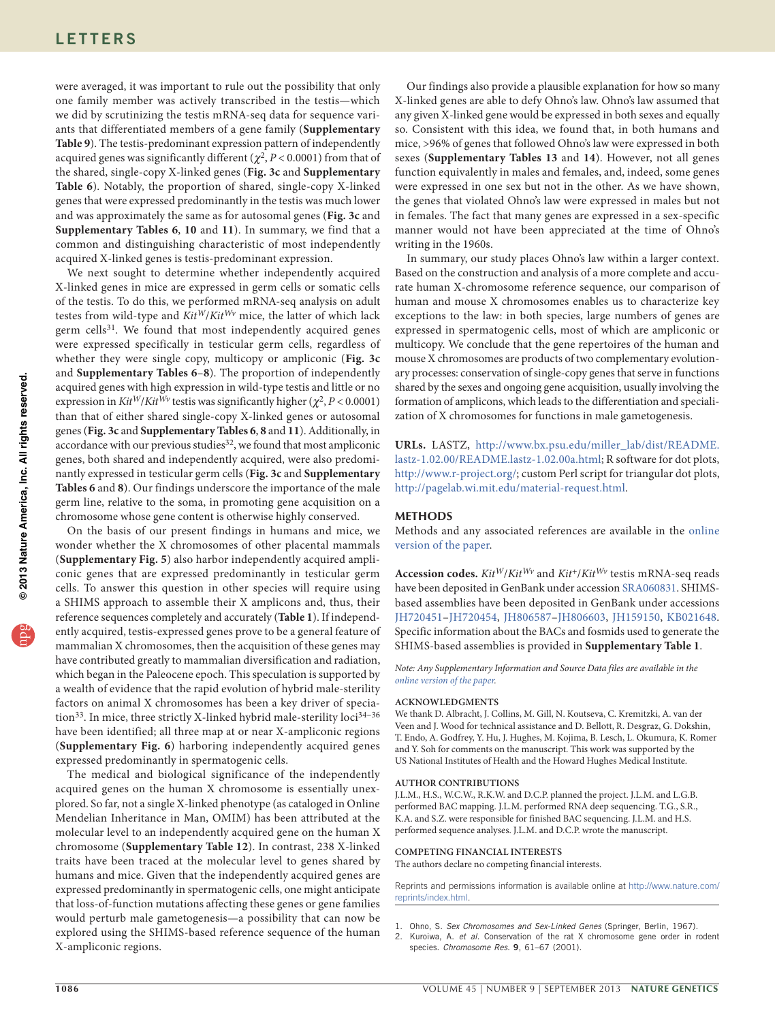were averaged, it was important to rule out the possibility that only one family member was actively transcribed in the testis—which we did by scrutinizing the testis mRNA-seq data for sequence variants that differentiated members of a gene family (**Supplementary Table 9**). The testis-predominant expression pattern of independently acquired genes was significantly different ( $\chi^2$ , *P* < 0.0001) from that of the shared, single-copy X-linked genes (**[Fig. 3c](#page-2-1)** and **Supplementary Table 6**). Notably, the proportion of shared, single-copy X-linked genes that were expressed predominantly in the testis was much lower and was approximately the same as for autosomal genes (**[Fig. 3c](#page-2-1)** and **Supplementary Tables 6**, **10** and **11**). In summary, we find that a common and distinguishing characteristic of most independently acquired X-linked genes is testis-predominant expression.

We next sought to determine whether independently acquired X-linked genes in mice are expressed in germ cells or somatic cells of the testis. To do this, we performed mRNA-seq analysis on adult testes from wild-type and *KitW*/*KitWv* mice, the latter of which lack germ cells<sup>[31](#page-4-18)</sup>. We found that most independently acquired genes were expressed specifically in testicular germ cells, regardless of whether they were single copy, multicopy or ampliconic (**[Fig. 3c](#page-2-1)** and **Supplementary Tables 6**–**8**). The proportion of independently acquired genes with high expression in wild-type testis and little or no expression in  $Kit^W/Kit^{Wv}$  testis was significantly higher ( $\chi^2$ , *P* < 0.0001) than that of either shared single-copy X-linked genes or autosomal genes (**[Fig. 3c](#page-2-1)** and **Supplementary Tables 6**, **8** and **11**). Additionally, in accordance with our previous studies<sup>[32](#page-4-19)</sup>, we found that most ampliconic genes, both shared and independently acquired, were also predominantly expressed in testicular germ cells (**[Fig. 3c](#page-2-1)** and **Supplementary Tables 6** and **8**). Our findings underscore the importance of the male germ line, relative to the soma, in promoting gene acquisition on a chromosome whose gene content is otherwise highly conserved.

On the basis of our present findings in humans and mice, we wonder whether the X chromosomes of other placental mammals (**Supplementary Fig. 5**) also harbor independently acquired ampliconic genes that are expressed predominantly in testicular germ cells. To answer this question in other species will require using a SHIMS approach to assemble their X amplicons and, thus, their reference sequences completely and accurately (**[Table 1](#page-1-0)**). If independently acquired, testis-expressed genes prove to be a general feature of mammalian X chromosomes, then the acquisition of these genes may have contributed greatly to mammalian diversification and radiation, which began in the Paleocene epoch. This speculation is supported by a wealth of evidence that the rapid evolution of hybrid male-sterility factors on animal X chromosomes has been a key driver of specia-tion<sup>[33](#page-4-20)</sup>. In mice, three strictly X-linked hybrid male-sterility loci<sup>34-[36](#page-4-22)</sup> have been identified; all three map at or near X-ampliconic regions (**Supplementary Fig. 6**) harboring independently acquired genes expressed predominantly in spermatogenic cells.

The medical and biological significance of the independently acquired genes on the human X chromosome is essentially unexplored. So far, not a single X-linked phenotype (as cataloged in Online Mendelian Inheritance in Man, OMIM) has been attributed at the molecular level to an independently acquired gene on the human X chromosome (**Supplementary Table 12**). In contrast, 238 X-linked traits have been traced at the molecular level to genes shared by humans and mice. Given that the independently acquired genes are expressed predominantly in spermatogenic cells, one might anticipate that loss-of-function mutations affecting these genes or gene families would perturb male gametogenesis—a possibility that can now be explored using the SHIMS-based reference sequence of the human X-ampliconic regions.

Our findings also provide a plausible explanation for how so many X-linked genes are able to defy Ohno's law. Ohno's law assumed that any given X-linked gene would be expressed in both sexes and equally so. Consistent with this idea, we found that, in both humans and mice, >96% of genes that followed Ohno's law were expressed in both sexes (**Supplementary Tables 13** and **14**). However, not all genes function equivalently in males and females, and, indeed, some genes were expressed in one sex but not in the other. As we have shown, the genes that violated Ohno's law were expressed in males but not in females. The fact that many genes are expressed in a sex-specific manner would not have been appreciated at the time of Ohno's writing in the 1960s.

In summary, our study places Ohno's law within a larger context. Based on the construction and analysis of a more complete and accurate human X-chromosome reference sequence, our comparison of human and mouse X chromosomes enables us to characterize key exceptions to the law: in both species, large numbers of genes are expressed in spermatogenic cells, most of which are ampliconic or multicopy. We conclude that the gene repertoires of the human and mouse X chromosomes are products of two complementary evolutionary processes: conservation of single-copy genes that serve in functions shared by the sexes and ongoing gene acquisition, usually involving the formation of amplicons, which leads to the differentiation and specialization of X chromosomes for functions in male gametogenesis.

**URLs.** LASTZ, [http://www.bx.psu.edu/miller\\_lab/dist/README.](http://www.bx.psu.edu/miller_lab/dist/README.lastz-1.02.00/README.lastz-1.02.00a.html) [lastz-1.02.00/README.lastz-1.02.00a.html;](http://www.bx.psu.edu/miller_lab/dist/README.lastz-1.02.00/README.lastz-1.02.00a.html) R software for dot plots, [http://www.r-project.org/;](http://www.r-project.org/) custom Perl script for triangular dot plots, <http://pagelab.wi.mit.edu/material-request.html>.

# **Methods**

Methods and any associated references are available in the [online](http://www.nature.com/doifinder/10.1038/ng.2705) [version](http://www.nature.com/doifinder/10.1038/ng.2705) of the paper.

**Accession codes.** *KitW*/*KitWv* and *Kit*+/*KitWv* testis mRNA-seq reads have been deposited in GenBank under accession [SRA060831.](http://www.ncbi.nlm.nih.gov/sra/?term=SRA060831) SHIMSbased assemblies have been deposited in GenBank under accessions [JH720451](http://www.ncbi.nlm.nih.gov/nuccore/JH720451)[–JH720454,](http://www.ncbi.nlm.nih.gov/nuccore/JH720454) [JH806587–](http://www.ncbi.nlm.nih.gov/nuccore/JH806587)[JH806603](http://www.ncbi.nlm.nih.gov/nuccore/JH806603), [JH159150](http://www.ncbi.nlm.nih.gov/nuccore/JH159150), [KB021648](http://www.ncbi.nlm.nih.gov/nuccore/KB021648). Specific information about the BACs and fosmids used to generate the SHIMS-based assemblies is provided in **Supplementary Table 1**.

*Note: Any Supplementary Information and Source Data files are available in the online [version](http://www.nature.com/doifinder/10.1038/ng.2705) of the paper.*

#### **Acknowledgments**

We thank D. Albracht, J. Collins, M. Gill, N. Koutseva, C. Kremitzki, A. van der Veen and J. Wood for technical assistance and D. Bellott, R. Desgraz, G. Dokshin, T. Endo, A. Godfrey, Y. Hu, J. Hughes, M. Kojima, B. Lesch, L. Okumura, K. Romer and Y. Soh for comments on the manuscript. This work was supported by the US National Institutes of Health and the Howard Hughes Medical Institute.

## **AUTHOR CONTRIBUTIONS**

J.L.M., H.S., W.C.W., R.K.W. and D.C.P. planned the project. J.L.M. and L.G.B. performed BAC mapping. J.L.M. performed RNA deep sequencing. T.G., S.R., K.A. and S.Z. were responsible for finished BAC sequencing. J.L.M. and H.S. performed sequence analyses. J.L.M. and D.C.P. wrote the manuscript.

#### **COMPETING FINANCIAL INTERESTS**

The authors declare no competing financial interests.

Reprints and permissions information is available online at [http://www.nature.com/](http://www.nature.com/reprints/index.html) [reprints/index.html.](http://www.nature.com/reprints/index.html)

- <span id="page-3-0"></span>1. Ohno, S. *Sex Chromosomes and Sex-Linked Genes* (Springer, Berlin, 1967).
- <span id="page-3-1"></span>2. Kuroiwa, A. *et al.* Conservation of the rat X chromosome gene order in rodent species. *Chromosome Res.* 9, 61–67 (2001).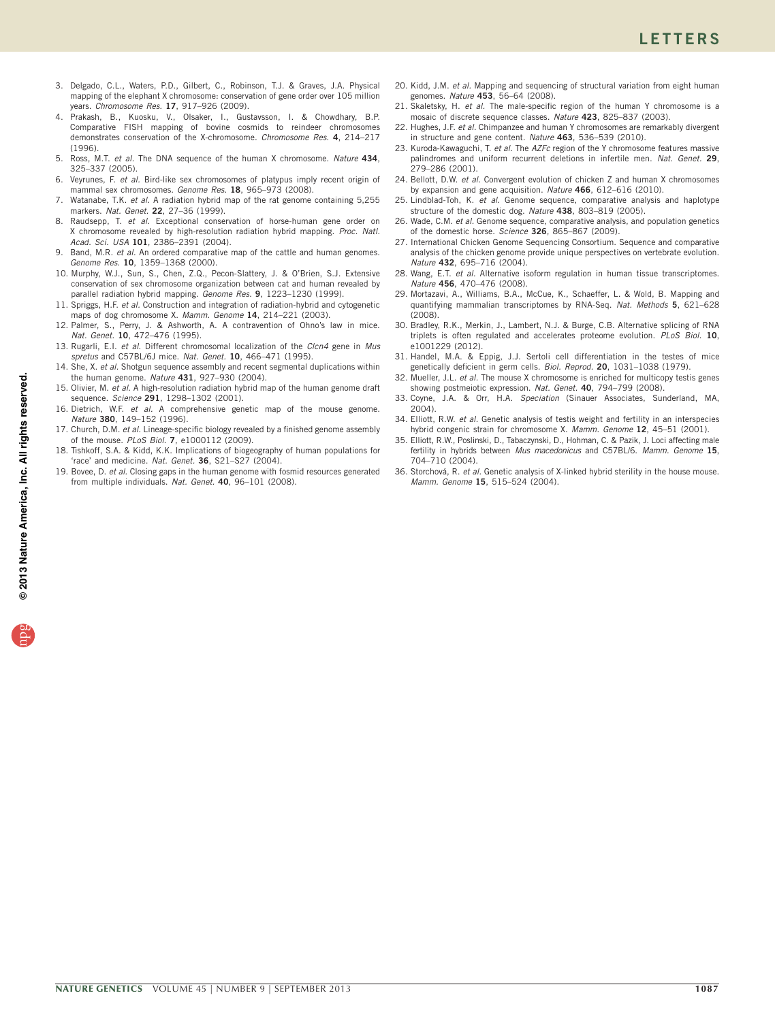- 3. Delgado, C.L., Waters, P.D., Gilbert, C., Robinson, T.J. & Graves, J.A. Physical mapping of the elephant X chromosome: conservation of gene order over 105 million years. *Chromosome Res.* 17, 917–926 (2009).
- 4. Prakash, B., Kuosku, V., Olsaker, I., Gustavsson, I. & Chowdhary, B.P. Comparative FISH mapping of bovine cosmids to reindeer chromosomes demonstrates conservation of the X-chromosome. *Chromosome Res.* 4, 214–217 (1996).
- <span id="page-4-6"></span>5. Ross, M.T. *et al.* The DNA sequence of the human X chromosome. *Nature* 434, 325–337 (2005).
- 6. Veyrunes, F. *et al.* Bird-like sex chromosomes of platypus imply recent origin of mammal sex chromosomes. *Genome Res.* 18, 965–973 (2008).
- Watanabe, T.K. *et al.* A radiation hybrid map of the rat genome containing 5,255 markers. *Nat. Genet.* 22, 27–36 (1999).
- 8. Raudsepp, T. *et al.* Exceptional conservation of horse-human gene order on X chromosome revealed by high-resolution radiation hybrid mapping. *Proc. Natl. Acad. Sci. USA* 101, 2386–2391 (2004).
- Band, M.R. *et al.* An ordered comparative map of the cattle and human genomes. *Genome Res.* 10, 1359–1368 (2000).
- 10. Murphy, W.J., Sun, S., Chen, Z.Q., Pecon-Slattery, J. & O'Brien, S.J. Extensive conservation of sex chromosome organization between cat and human revealed by parallel radiation hybrid mapping. *Genome Res.* 9, 1223–1230 (1999).
- <span id="page-4-0"></span>11. Spriggs, H.F. *et al.* Construction and integration of radiation-hybrid and cytogenetic maps of dog chromosome X. *Mamm. Genome* 14, 214–221 (2003).
- <span id="page-4-1"></span>12. Palmer, S., Perry, J. & Ashworth, A. A contravention of Ohno's law in mice. *Nat. Genet.* 10, 472–476 (1995).
- <span id="page-4-2"></span>13. Rugarli, E.I. *et al.* Different chromosomal localization of the *Clcn4* gene in *Mus spretus* and C57BL/6J mice. *Nat. Genet.* 10, 466–471 (1995).
- <span id="page-4-3"></span>14. She, X. *et al.* Shotgun sequence assembly and recent segmental duplications within the human genome. *Nature* 431, 927–930 (2004).
- <span id="page-4-4"></span>15. Olivier, M. *et al.* A high-resolution radiation hybrid map of the human genome draft sequence. *Science* 291, 1298–1302 (2001).
- <span id="page-4-5"></span>16. Dietrich, W.F. *et al.* A comprehensive genetic map of the mouse genome. *Nature* 380, 149–152 (1996).
- <span id="page-4-7"></span>17. Church, D.M. *et al.* Lineage-specific biology revealed by a finished genome assembly of the mouse. *PLoS Biol.* 7, e1000112 (2009).
- <span id="page-4-8"></span>18. Tishkoff, S.A. & Kidd, K.K. Implications of biogeography of human populations for 'race' and medicine. *Nat. Genet.* 36, S21–S27 (2004).
- <span id="page-4-9"></span>19. Bovee, D. *et al.* Closing gaps in the human genome with fosmid resources generated from multiple individuals. *Nat. Genet.* 40, 96–101 (2008).
- <span id="page-4-10"></span>20. Kidd, J.M. *et al.* Mapping and sequencing of structural variation from eight human genomes. *Nature* 453, 56–64 (2008).
- <span id="page-4-11"></span>21. Skaletsky, H. *et al.* The male-specific region of the human Y chromosome is a mosaic of discrete sequence classes. *Nature* 423, 825–837 (2003).
- 22. Hughes, J.F. *et al.* Chimpanzee and human Y chromosomes are remarkably divergent in structure and gene content. *Nature* 463, 536–539 (2010).
- <span id="page-4-23"></span>23. Kuroda-Kawaguchi, T. *et al.* The *AZFc* region of the Y chromosome features massive palindromes and uniform recurrent deletions in infertile men. *Nat. Genet.* 29, 279–286 (2001).
- <span id="page-4-12"></span>24. Bellott, D.W. *et al.* Convergent evolution of chicken Z and human X chromosomes by expansion and gene acquisition. *Nature* 466, 612–616 (2010).
- <span id="page-4-13"></span>25. Lindblad-Toh, K. *et al.* Genome sequence, comparative analysis and haplotype structure of the domestic dog. *Nature* 438, 803–819 (2005).
- <span id="page-4-14"></span>26. Wade, C.M. *et al.* Genome sequence, comparative analysis, and population genetics of the domestic horse. *Science* 326, 865–867 (2009).
- <span id="page-4-15"></span>27. International Chicken Genome Sequencing Consortium. Sequence and comparative analysis of the chicken genome provide unique perspectives on vertebrate evolution. *Nature* 432, 695–716 (2004).
- <span id="page-4-16"></span>28. Wang, E.T. *et al.* Alternative isoform regulation in human tissue transcriptomes. *Nature* 456, 470–476 (2008).
- <span id="page-4-24"></span>29. Mortazavi, A., Williams, B.A., McCue, K., Schaeffer, L. & Wold, B. Mapping and quantifying mammalian transcriptomes by RNA-Seq. *Nat. Methods* 5, 621–628 (2008).
- <span id="page-4-17"></span>30. Bradley, R.K., Merkin, J., Lambert, N.J. & Burge, C.B. Alternative splicing of RNA triplets is often regulated and accelerates proteome evolution. *PLoS Biol.* 10, e1001229 (2012).
- <span id="page-4-18"></span>31. Handel, M.A. & Eppig, J.J. Sertoli cell differentiation in the testes of mice genetically deficient in germ cells. *Biol. Reprod.* 20, 1031–1038 (1979).
- <span id="page-4-19"></span>32. Mueller, J.L. *et al.* The mouse X chromosome is enriched for multicopy testis genes showing postmeiotic expression. *Nat. Genet.* 40, 794–799 (2008).
- <span id="page-4-20"></span>33. Coyne, J.A. & Orr, H.A. *Speciation* (Sinauer Associates, Sunderland, MA, 2004).
- <span id="page-4-21"></span>34. Elliott, R.W. *et al.* Genetic analysis of testis weight and fertility in an interspecies hybrid congenic strain for chromosome X. *Mamm. Genome* 12, 45–51 (2001).
- 35. Elliott, R.W., Poslinski, D., Tabaczynski, D., Hohman, C. & Pazik, J. Loci affecting male fertility in hybrids between *Mus macedonicus* and C57BL/6. *Mamm. Genome* 15, 704–710 (2004).
- <span id="page-4-22"></span>36. Storchová, R. *et al.* Genetic analysis of X-linked hybrid sterility in the house mouse. *Mamm. Genome* 15, 515–524 (2004).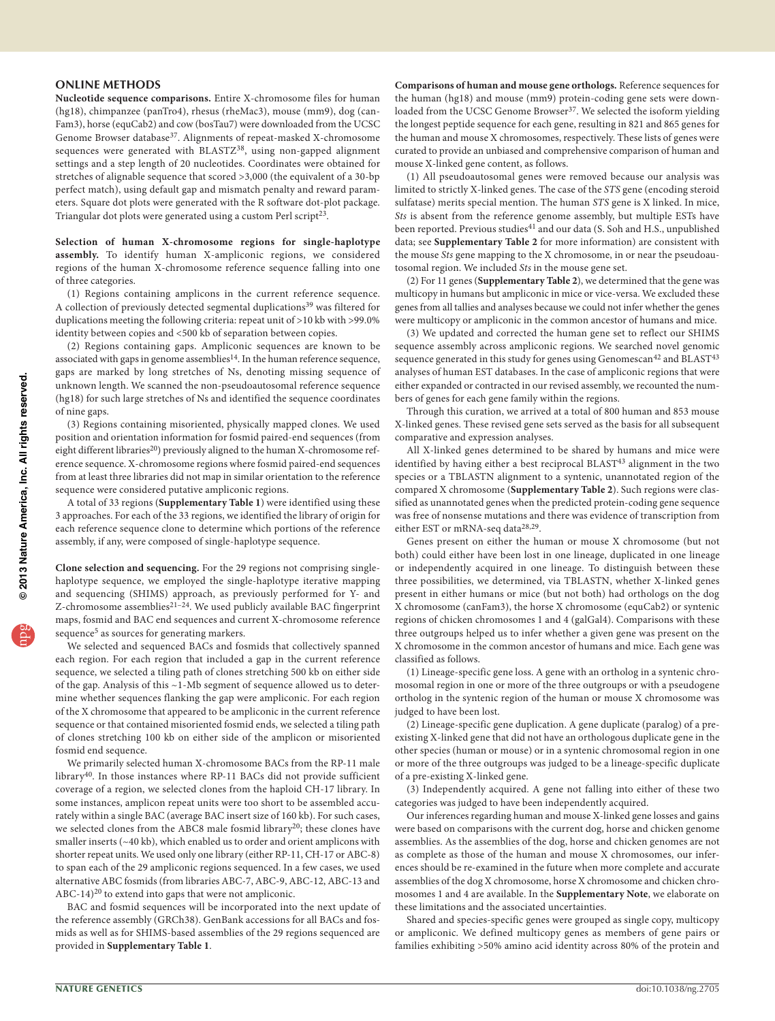# **ONLINE METHODS**

**Nucleotide sequence comparisons.** Entire X-chromosome files for human (hg18), chimpanzee (panTro4), rhesus (rheMac3), mouse (mm9), dog (can-Fam3), horse (equCab2) and cow (bosTau7) were downloaded from the UCSC Genome Browser database[37](#page-6-0). Alignments of repeat-masked X-chromosome sequences were generated with BLASTZ<sup>[38](#page-6-1)</sup>, using non-gapped alignment settings and a step length of 20 nucleotides. Coordinates were obtained for stretches of alignable sequence that scored >3,000 (the equivalent of a 30-bp perfect match), using default gap and mismatch penalty and reward parameters. Square dot plots were generated with the R software dot-plot package. Triangular dot plots were generated using a custom Perl script<sup>[23](#page-4-23)</sup>.

**Selection of human X-chromosome regions for single-haplotype assembly.** To identify human X-ampliconic regions, we considered regions of the human X-chromosome reference sequence falling into one of three categories.

(1) Regions containing amplicons in the current reference sequence. A collection of previously detected segmental duplications<sup>39</sup> was filtered for duplications meeting the following criteria: repeat unit of >10 kb with >99.0% identity between copies and <500 kb of separation between copies.

(2) Regions containing gaps. Ampliconic sequences are known to be associated with gaps in genome assemblies<sup>[14](#page-4-3)</sup>. In the human reference sequence, gaps are marked by long stretches of Ns, denoting missing sequence of unknown length. We scanned the non-pseudoautosomal reference sequence (hg18) for such large stretches of Ns and identified the sequence coordinates of nine gaps.

(3) Regions containing misoriented, physically mapped clones. We used position and orientation information for fosmid paired-end sequences (from eight different libraries<sup>20</sup>) previously aligned to the human X-chromosome reference sequence. X-chromosome regions where fosmid paired-end sequences from at least three libraries did not map in similar orientation to the reference sequence were considered putative ampliconic regions.

A total of 33 regions (**Supplementary Table 1**) were identified using these 3 approaches. For each of the 33 regions, we identified the library of origin for each reference sequence clone to determine which portions of the reference assembly, if any, were composed of single-haplotype sequence.

**Clone selection and sequencing.** For the 29 regions not comprising singlehaplotype sequence, we employed the single-haplotype iterative mapping and sequencing (SHIMS) approach, as previously performed for Y- and Z-chromosome assemblies<sup>21-[24](#page-4-12)</sup>. We used publicly available BAC fingerprint maps, fosmid and BAC end sequences and current X-chromosome reference sequence<sup>[5](#page-4-6)</sup> as sources for generating markers.

We selected and sequenced BACs and fosmids that collectively spanned each region. For each region that included a gap in the current reference sequence, we selected a tiling path of clones stretching 500 kb on either side of the gap. Analysis of this ~1-Mb segment of sequence allowed us to determine whether sequences flanking the gap were ampliconic. For each region of the X chromosome that appeared to be ampliconic in the current reference sequence or that contained misoriented fosmid ends, we selected a tiling path of clones stretching 100 kb on either side of the amplicon or misoriented fosmid end sequence.

We primarily selected human X-chromosome BACs from the RP-11 male library[40.](#page-6-3) In those instances where RP-11 BACs did not provide sufficient coverage of a region, we selected clones from the haploid CH-17 library. In some instances, amplicon repeat units were too short to be assembled accurately within a single BAC (average BAC insert size of 160 kb). For such cases, we selected clones from the ABC8 male fosmid library<sup>20</sup>; these clones have smaller inserts (~40 kb), which enabled us to order and orient amplicons with shorter repeat units. We used only one library (either RP-11, CH-17 or ABC-8) to span each of the 29 ampliconic regions sequenced. In a few cases, we used alternative ABC fosmids (from libraries ABC-7, ABC-9, ABC-12, ABC-13 and ABC-14)<sup>[20](#page-4-10)</sup> to extend into gaps that were not ampliconic.

BAC and fosmid sequences will be incorporated into the next update of the reference assembly (GRCh38). GenBank accessions for all BACs and fosmids as well as for SHIMS-based assemblies of the 29 regions sequenced are provided in **Supplementary Table 1**.

**Comparisons of human and mouse gene orthologs.** Reference sequences for the human (hg18) and mouse (mm9) protein-coding gene sets were downloaded from the UCSC Genome Browser<sup>37</sup>. We selected the isoform yielding the longest peptide sequence for each gene, resulting in 821 and 865 genes for the human and mouse X chromosomes, respectively. These lists of genes were curated to provide an unbiased and comprehensive comparison of human and mouse X-linked gene content, as follows.

(1) All pseudoautosomal genes were removed because our analysis was limited to strictly X-linked genes. The case of the *STS* gene (encoding steroid sulfatase) merits special mention. The human *STS* gene is X linked. In mice, *Sts* is absent from the reference genome assembly, but multiple ESTs have been reported. Previous studies<sup>41</sup> and our data (S. Soh and H.S., unpublished data; see **Supplementary Table 2** for more information) are consistent with the mouse *Sts* gene mapping to the X chromosome, in or near the pseudoautosomal region. We included *Sts* in the mouse gene set.

(2) For 11 genes (**Supplementary Table 2**), we determined that the gene was multicopy in humans but ampliconic in mice or vice-versa. We excluded these genes from all tallies and analyses because we could not infer whether the genes were multicopy or ampliconic in the common ancestor of humans and mice.

(3) We updated and corrected the human gene set to reflect our SHIMS sequence assembly across ampliconic regions. We searched novel genomic sequence generated in this study for genes using Genomescan<sup>42</sup> and BLAST<sup>[43](#page-6-6)</sup> analyses of human EST databases. In the case of ampliconic regions that were either expanded or contracted in our revised assembly, we recounted the numbers of genes for each gene family within the regions.

Through this curation, we arrived at a total of 800 human and 853 mouse X-linked genes. These revised gene sets served as the basis for all subsequent comparative and expression analyses.

All X-linked genes determined to be shared by humans and mice were identified by having either a best reciprocal BLAST<sup>[43](#page-6-6)</sup> alignment in the two species or a TBLASTN alignment to a syntenic, unannotated region of the compared X chromosome (**Supplementary Table 2**). Such regions were classified as unannotated genes when the predicted protein-coding gene sequence was free of nonsense mutations and there was evidence of transcription from either EST or mRNA-seq data[28,](#page-4-16)[29](#page-4-24).

Genes present on either the human or mouse X chromosome (but not both) could either have been lost in one lineage, duplicated in one lineage or independently acquired in one lineage. To distinguish between these three possibilities, we determined, via TBLASTN, whether X-linked genes present in either humans or mice (but not both) had orthologs on the dog X chromosome (canFam3), the horse X chromosome (equCab2) or syntenic regions of chicken chromosomes 1 and 4 (galGal4). Comparisons with these three outgroups helped us to infer whether a given gene was present on the X chromosome in the common ancestor of humans and mice. Each gene was classified as follows.

(1) Lineage-specific gene loss. A gene with an ortholog in a syntenic chromosomal region in one or more of the three outgroups or with a pseudogene ortholog in the syntenic region of the human or mouse X chromosome was judged to have been lost.

(2) Lineage-specific gene duplication. A gene duplicate (paralog) of a preexisting X-linked gene that did not have an orthologous duplicate gene in the other species (human or mouse) or in a syntenic chromosomal region in one or more of the three outgroups was judged to be a lineage-specific duplicate of a pre-existing X-linked gene.

(3) Independently acquired. A gene not falling into either of these two categories was judged to have been independently acquired.

Our inferences regarding human and mouse X-linked gene losses and gains were based on comparisons with the current dog, horse and chicken genome assemblies. As the assemblies of the dog, horse and chicken genomes are not as complete as those of the human and mouse X chromosomes, our inferences should be re-examined in the future when more complete and accurate assemblies of the dog X chromosome, horse X chromosome and chicken chromosomes 1 and 4 are available. In the **Supplementary Note**, we elaborate on these limitations and the associated uncertainties.

Shared and species-specific genes were grouped as single copy, multicopy or ampliconic. We defined multicopy genes as members of gene pairs or families exhibiting >50% amino acid identity across 80% of the protein and